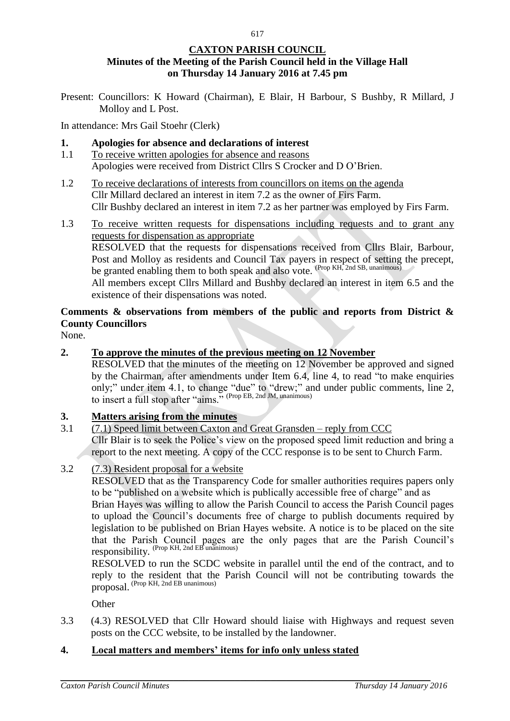## **CAXTON PARISH COUNCIL Minutes of the Meeting of the Parish Council held in the Village Hall on Thursday 14 January 2016 at 7.45 pm**

Present: Councillors: K Howard (Chairman), E Blair, H Barbour, S Bushby, R Millard, J Molloy and L Post.

In attendance: Mrs Gail Stoehr (Clerk)

- **1. Apologies for absence and declarations of interest**
- 1.1 To receive written apologies for absence and reasons Apologies were received from District Cllrs S Crocker and D O'Brien.
- 1.2 To receive declarations of interests from councillors on items on the agenda Cllr Millard declared an interest in item 7.2 as the owner of Firs Farm. Cllr Bushby declared an interest in item 7.2 as her partner was employed by Firs Farm.
- 1.3 To receive written requests for dispensations including requests and to grant any requests for dispensation as appropriate RESOLVED that the requests for dispensations received from Cllrs Blair, Barbour, Post and Molloy as residents and Council Tax payers in respect of setting the precept, be granted enabling them to both speak and also vote. (Prop KH, 2nd SB, unanimous) All members except Cllrs Millard and Bushby declared an interest in item 6.5 and the existence of their dispensations was noted.

# **Comments & observations from members of the public and reports from District & County Councillors**

None.

**2. To approve the minutes of the previous meeting on 12 November**

RESOLVED that the minutes of the meeting on 12 November be approved and signed by the Chairman, after amendments under Item 6.4, line 4, to read "to make enquiries only;" under item 4.1, to change "due" to "drew;" and under public comments, line 2, to insert a full stop after "aims." (Prop EB, 2nd JM, unanimous)

### **3. Matters arising from the minutes**

3.1 (7.1) Speed limit between Caxton and Great Gransden – reply from CCC Cllr Blair is to seek the Police's view on the proposed speed limit reduction and bring a

report to the next meeting. A copy of the CCC response is to be sent to Church Farm.

3.2 (7.3) Resident proposal for a website

RESOLVED that as the Transparency Code for smaller authorities requires papers only to be "published on a website which is publically accessible free of charge" and as

Brian Hayes was willing to allow the Parish Council to access the Parish Council pages to upload the Council's documents free of charge to publish documents required by legislation to be published on Brian Hayes website. A notice is to be placed on the site that the Parish Council pages are the only pages that are the Parish Council's responsibility. (Prop KH, 2nd EB unanimous)

RESOLVED to run the SCDC website in parallel until the end of the contract, and to reply to the resident that the Parish Council will not be contributing towards the proposal. (Prop KH, 2nd EB unanimous)

**Other** 

3.3 (4.3) RESOLVED that Cllr Howard should liaise with Highways and request seven posts on the CCC website, to be installed by the landowner.

### **4. Local matters and members' items for info only unless stated**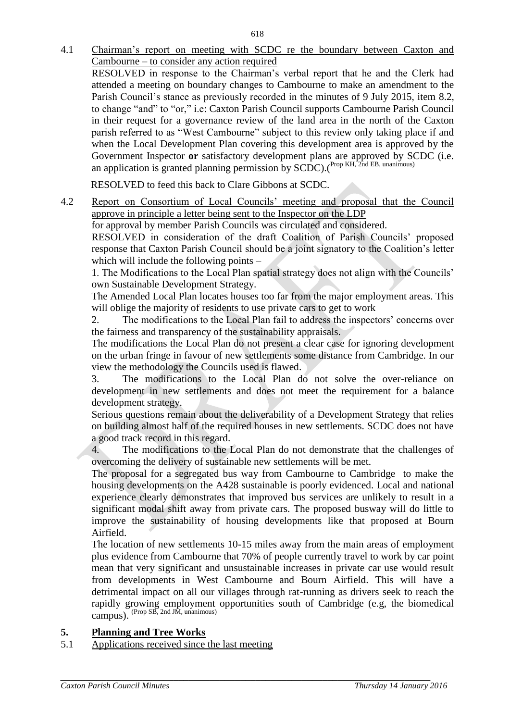4.1 Chairman's report on meeting with SCDC re the boundary between Caxton and Cambourne – to consider any action required

RESOLVED in response to the Chairman's verbal report that he and the Clerk had attended a meeting on boundary changes to Cambourne to make an amendment to the Parish Council's stance as previously recorded in the minutes of 9 July 2015, item 8.2, to change "and" to "or," i.e: Caxton Parish Council supports Cambourne Parish Council in their request for a governance review of the land area in the north of the Caxton parish referred to as "West Cambourne" subject to this review only taking place if and when the Local Development Plan covering this development area is approved by the Government Inspector **or** satisfactory development plans are approved by SCDC (i.e. an application is granted planning permission by  $SCDC$ ). (Prop KH, 2nd EB, unanimous)

RESOLVED to feed this back to Clare Gibbons at SCDC.

4.2 Report on Consortium of Local Councils' meeting and proposal that the Council approve in principle a letter being sent to the Inspector on the LDP

for approval by member Parish Councils was circulated and considered.

RESOLVED in consideration of the draft Coalition of Parish Councils' proposed response that Caxton Parish Council should be a joint signatory to the Coalition's letter which will include the following points –

1. The Modifications to the Local Plan spatial strategy does not align with the Councils' own Sustainable Development Strategy.

The Amended Local Plan locates houses too far from the major employment areas. This will oblige the majority of residents to use private cars to get to work

2. The modifications to the Local Plan fail to address the inspectors' concerns over the fairness and transparency of the sustainability appraisals.

The modifications the Local Plan do not present a clear case for ignoring development on the urban fringe in favour of new settlements some distance from Cambridge. In our view the methodology the Councils used is flawed.

3. The modifications to the Local Plan do not solve the over-reliance on development in new settlements and does not meet the requirement for a balance development strategy.

Serious questions remain about the deliverability of a Development Strategy that relies on building almost half of the required houses in new settlements. SCDC does not have a good track record in this regard.

4. The modifications to the Local Plan do not demonstrate that the challenges of overcoming the delivery of sustainable new settlements will be met.

The proposal for a segregated bus way from Cambourne to Cambridge to make the housing developments on the A428 sustainable is poorly evidenced. Local and national experience clearly demonstrates that improved bus services are unlikely to result in a significant modal shift away from private cars. The proposed busway will do little to improve the sustainability of housing developments like that proposed at Bourn Airfield.

The location of new settlements 10-15 miles away from the main areas of employment plus evidence from Cambourne that 70% of people currently travel to work by car point mean that very significant and unsustainable increases in private car use would result from developments in West Cambourne and Bourn Airfield. This will have a detrimental impact on all our villages through rat-running as drivers seek to reach the rapidly growing employment opportunities south of Cambridge (e.g, the biomedical campus). (Prop SB, 2nd JM, unanimous)

### **5. Planning and Tree Works**

5.1 Applications received since the last meeting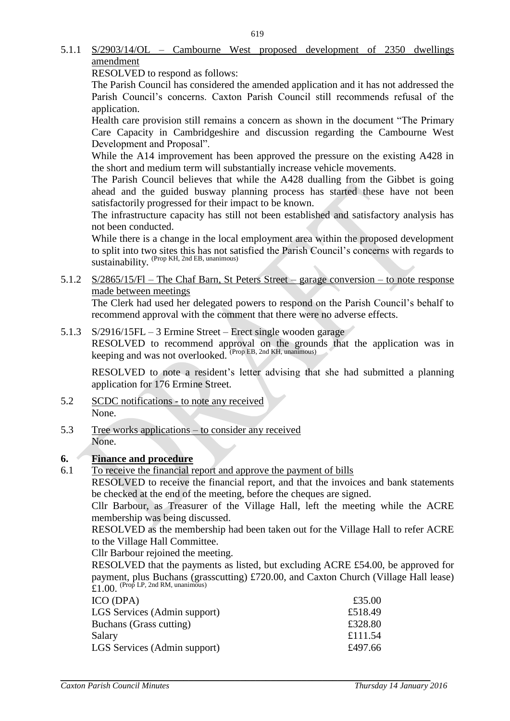## 5.1.1 S/2903/14/OL – Cambourne West proposed development of 2350 dwellings amendment

RESOLVED to respond as follows:

The Parish Council has considered the amended application and it has not addressed the Parish Council's concerns. Caxton Parish Council still recommends refusal of the application.

Health care provision still remains a concern as shown in the document "The Primary Care Capacity in Cambridgeshire and discussion regarding the Cambourne West Development and Proposal".

While the A14 improvement has been approved the pressure on the existing A428 in the short and medium term will substantially increase vehicle movements.

The Parish Council believes that while the A428 dualling from the Gibbet is going ahead and the guided busway planning process has started these have not been satisfactorily progressed for their impact to be known.

The infrastructure capacity has still not been established and satisfactory analysis has not been conducted.

While there is a change in the local employment area within the proposed development to split into two sites this has not satisfied the Parish Council's concerns with regards to sustainability. (Prop KH, 2nd EB, unanimous)

5.1.2 S/2865/15/Fl – The Chaf Barn, St Peters Street – garage conversion – to note response made between meetings

The Clerk had used her delegated powers to respond on the Parish Council's behalf to recommend approval with the comment that there were no adverse effects.

5.1.3 S/2916/15FL – 3 Ermine Street – Erect single wooden garage

RESOLVED to recommend approval on the grounds that the application was in keeping and was not overlooked. <sup>(Prop EB, 2nd KH, unanimous)</sup>

RESOLVED to note a resident's letter advising that she had submitted a planning application for 176 Ermine Street.

- 5.2 SCDC notifications to note any received None.
- 5.3 Tree works applications to consider any received None.

### **6. Finance and procedure**

6.1 To receive the financial report and approve the payment of bills

RESOLVED to receive the financial report, and that the invoices and bank statements be checked at the end of the meeting, before the cheques are signed.

Cllr Barbour, as Treasurer of the Village Hall, left the meeting while the ACRE membership was being discussed.

RESOLVED as the membership had been taken out for the Village Hall to refer ACRE to the Village Hall Committee.

Cllr Barbour rejoined the meeting.

RESOLVED that the payments as listed, but excluding ACRE £54.00, be approved for payment, plus Buchans (grasscutting) £720.00, and Caxton Church (Village Hall lease)  $£1.00.$  (Prop LP, 2nd RM, unanimous)

| £35.00  |
|---------|
| £518.49 |
| £328.80 |
| £111.54 |
| £497.66 |
|         |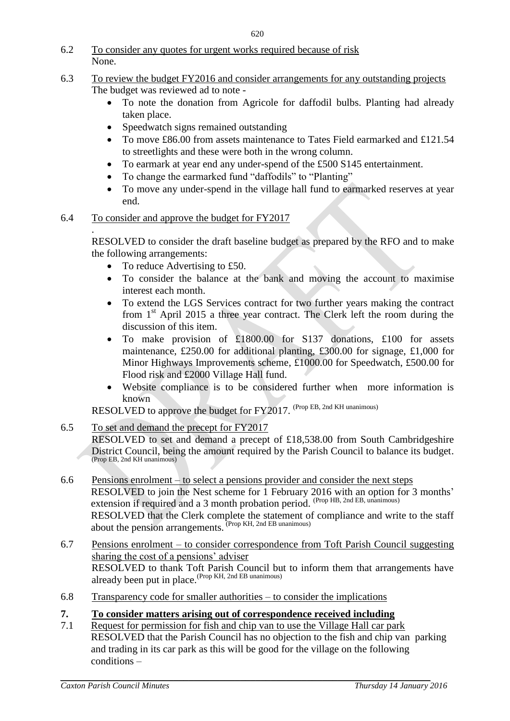6.2 To consider any quotes for urgent works required because of risk None.

## 6.3 To review the budget FY2016 and consider arrangements for any outstanding projects The budget was reviewed ad to note -

- To note the donation from Agricole for daffodil bulbs. Planting had already taken place.
- Speedwatch signs remained outstanding
- To move £86.00 from assets maintenance to Tates Field earmarked and £121.54 to streetlights and these were both in the wrong column.
- To earmark at year end any under-spend of the £500 S145 entertainment.
- To change the earmarked fund "daffodils" to "Planting"
- To move any under-spend in the village hall fund to earmarked reserves at year end.

## 6.4 To consider and approve the budget for FY2017

. RESOLVED to consider the draft baseline budget as prepared by the RFO and to make the following arrangements:

- To reduce Advertising to £50.
- To consider the balance at the bank and moving the account to maximise interest each month.
- To extend the LGS Services contract for two further years making the contract from  $1<sup>st</sup>$  April 2015 a three year contract. The Clerk left the room during the discussion of this item.
- To make provision of £1800.00 for S137 donations, £100 for assets maintenance, £250.00 for additional planting, £300.00 for signage, £1,000 for Minor Highways Improvements scheme, £1000.00 for Speedwatch, £500.00 for Flood risk and £2000 Village Hall fund.
- Website compliance is to be considered further when more information is known

RESOLVED to approve the budget for FY2017. (Prop EB, 2nd KH unanimous)

## 6.5 To set and demand the precept for FY2017

RESOLVED to set and demand a precept of £18,538.00 from South Cambridgeshire District Council, being the amount required by the Parish Council to balance its budget. (Prop EB, 2nd KH unanimous)

- 6.6 Pensions enrolment to select a pensions provider and consider the next steps RESOLVED to join the Nest scheme for 1 February 2016 with an option for 3 months' extension if required and a 3 month probation period. (Prop HB, 2nd EB, unanimous) RESOLVED that the Clerk complete the statement of compliance and write to the staff about the pension arrangements. (Prop KH, 2nd EB unanimous)
- 6.7 Pensions enrolment to consider correspondence from Toft Parish Council suggesting sharing the cost of a pensions' adviser RESOLVED to thank Toft Parish Council but to inform them that arrangements have already been put in place.(Prop KH, 2nd EB unanimous)
- 6.8 Transparency code for smaller authorities to consider the implications
- **7. To consider matters arising out of correspondence received including**
- 7.1 Request for permission for fish and chip van to use the Village Hall car park RESOLVED that the Parish Council has no objection to the fish and chip van parking and trading in its car park as this will be good for the village on the following conditions –